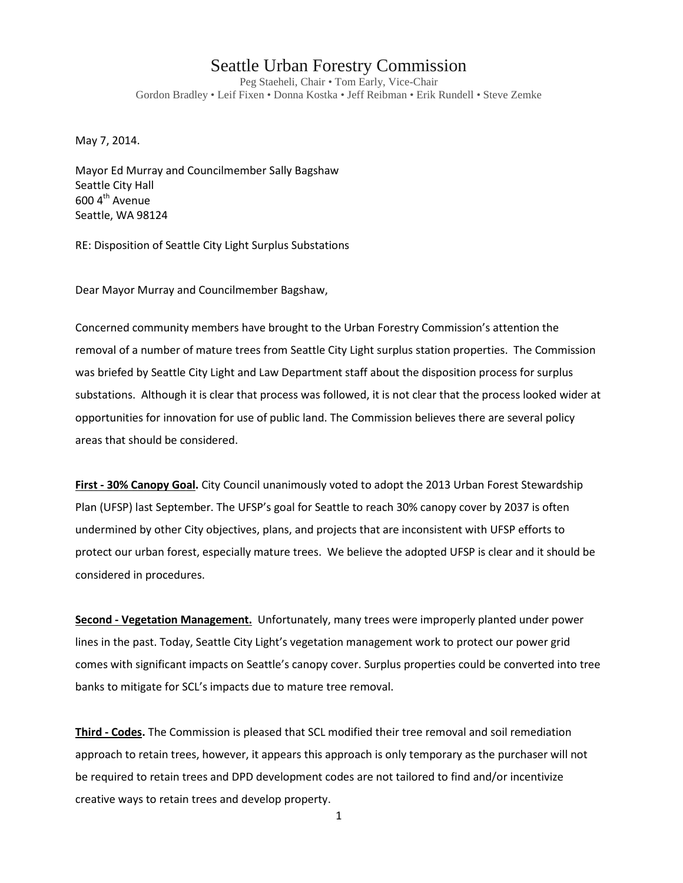## Seattle Urban Forestry Commission

Peg Staeheli, Chair • Tom Early, Vice-Chair Gordon Bradley • Leif Fixen • Donna Kostka • Jeff Reibman • Erik Rundell • Steve Zemke

May 7, 2014.

Mayor Ed Murray and Councilmember Sally Bagshaw Seattle City Hall  $600$  4<sup>th</sup> Avenue Seattle, WA 98124

RE: Disposition of Seattle City Light Surplus Substations

Dear Mayor Murray and Councilmember Bagshaw,

Concerned community members have brought to the Urban Forestry Commission's attention the removal of a number of mature trees from Seattle City Light surplus station properties. The Commission was briefed by Seattle City Light and Law Department staff about the disposition process for surplus substations. Although it is clear that process was followed, it is not clear that the process looked wider at opportunities for innovation for use of public land. The Commission believes there are several policy areas that should be considered.

**First - 30% Canopy Goal.** City Council unanimously voted to adopt the 2013 Urban Forest Stewardship Plan (UFSP) last September. The UFSP's goal for Seattle to reach 30% canopy cover by 2037 is often undermined by other City objectives, plans, and projects that are inconsistent with UFSP efforts to protect our urban forest, especially mature trees. We believe the adopted UFSP is clear and it should be considered in procedures.

**Second - Vegetation Management.** Unfortunately, many trees were improperly planted under power lines in the past. Today, Seattle City Light's vegetation management work to protect our power grid comes with significant impacts on Seattle's canopy cover. Surplus properties could be converted into tree banks to mitigate for SCL's impacts due to mature tree removal.

**Third - Codes.** The Commission is pleased that SCL modified their tree removal and soil remediation approach to retain trees, however, it appears this approach is only temporary as the purchaser will not be required to retain trees and DPD development codes are not tailored to find and/or incentivize creative ways to retain trees and develop property.